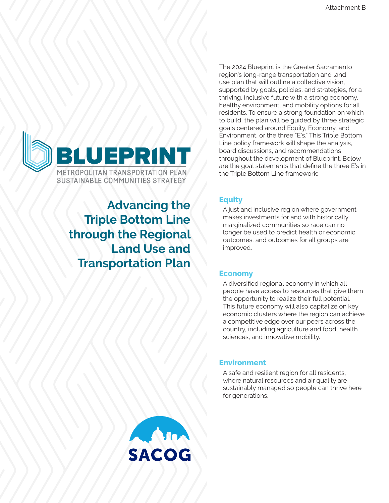

**Advancing the Triple Bottom Line through the Regional Land Use and Transportation Plan**

The 2024 Blueprint is the Greater Sacramento region's long-range transportation and land use plan that will outline a collective vision, supported by goals, policies, and strategies, for a thriving, inclusive future with a strong economy, healthy environment, and mobility options for all residents. To ensure a strong foundation on which to build, the plan will be guided by three strategic goals centered around Equity, Economy, and Environment, or the three "E's." This Triple Bottom Line policy framework will shape the analysis, board discussions, and recommendations throughout the development of Blueprint. Below are the goal statements that define the three E's in the Triple Bottom Line framework:

# **Equity**

A just and inclusive region where government makes investments for and with historically marginalized communities so race can no longer be used to predict health or economic outcomes, and outcomes for all groups are improved.

# **Economy**

A diversified regional economy in which all people have access to resources that give them the opportunity to realize their full potential. This future economy will also capitalize on key economic clusters where the region can achieve a competitive edge over our peers across the country, including agriculture and food, health sciences, and innovative mobility.

# **Environment**

A safe and resilient region for all residents, where natural resources and air quality are sustainably managed so people can thrive here for generations.